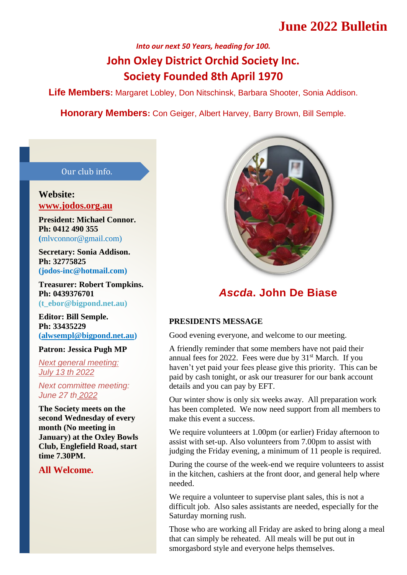# **June 2022 Bulletin**

# *Into our next 50 Years, heading for 100.* **John Oxley District Orchid Society Inc. Society Founded 8th April 1970**

**Life Members:** Margaret Lobley, Don Nitschinsk, Barbara Shooter, Sonia Addison.

**Honorary Members:** Con Geiger, Albert Harvey, Barry Brown, Bill Semple.

#### Our club info.

#### **Website: [www.jodos.org.au](about:blank)**

**President: Michael Connor. Ph: 0412 490 355 (**[mlvconnor@gmail.com\)](about:blank)

**Secretary: Sonia Addison. Ph: 32775825 (jodos-inc@hotmail.com)**

**Treasurer: Robert Tompkins. Ph: 0439376701 (t\_ebor@bigpond.net.au)**

**Editor: Bill Semple. Ph: 33435229 [\(alwsempl@bigpond.net.au\)](about:blank)**

#### **Patron: Jessica Pugh MP**

*Next general meeting: July 13 th 2022*

*Next committee meeting: June 27 th 2022* 

**The Society meets on the second Wednesday of every month (No meeting in January) at the Oxley Bowls Club, Englefield Road, start time 7.30PM.** 

### **All Welcome.**



## *Ascda***. John De Biase**

#### **PRESIDENTS MESSAGE**

Good evening everyone, and welcome to our meeting.

A friendly reminder that some members have not paid their annual fees for 2022. Fees were due by  $31<sup>st</sup>$  March. If you haven't yet paid your fees please give this priority. This can be paid by cash tonight, or ask our treasurer for our bank account details and you can pay by EFT.

Our winter show is only six weeks away. All preparation work has been completed. We now need support from all members to make this event a success.

We require volunteers at 1.00pm (or earlier) Friday afternoon to assist with set-up. Also volunteers from 7.00pm to assist with judging the Friday evening, a minimum of 11 people is required.

During the course of the week-end we require volunteers to assist in the kitchen, cashiers at the front door, and general help where needed.

We require a volunteer to supervise plant sales, this is not a difficult job. Also sales assistants are needed, especially for the Saturday morning rush.

Those who are working all Friday are asked to bring along a meal that can simply be reheated. All meals will be put out in smorgasbord style and everyone helps themselves.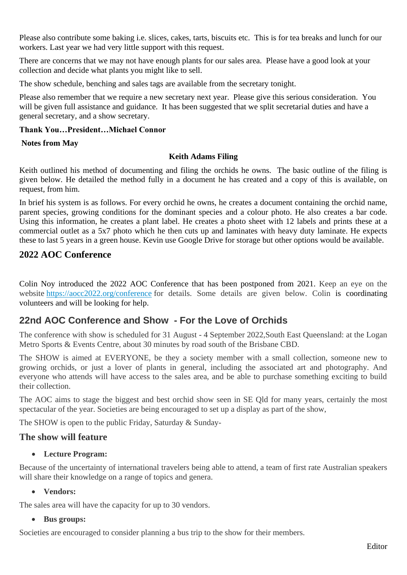Please also contribute some baking i.e. slices, cakes, tarts, biscuits etc. This is for tea breaks and lunch for our workers. Last year we had very little support with this request.

There are concerns that we may not have enough plants for our sales area. Please have a good look at your collection and decide what plants you might like to sell.

The show schedule, benching and sales tags are available from the secretary tonight.

Please also remember that we require a new secretary next year. Please give this serious consideration. You will be given full assistance and guidance. It has been suggested that we split secretarial duties and have a general secretary, and a show secretary.

#### **Thank You…President…Michael Connor**

#### **Notes from May**

#### **Keith Adams Filing**

Keith outlined his method of documenting and filing the orchids he owns. The basic outline of the filing is given below. He detailed the method fully in a document he has created and a copy of this is available, on request, from him.

In brief his system is as follows. For every orchid he owns, he creates a document containing the orchid name, parent species, growing conditions for the dominant species and a colour photo. He also creates a bar code. Using this information, he creates a plant label. He creates a photo sheet with 12 labels and prints these at a commercial outlet as a 5x7 photo which he then cuts up and laminates with heavy duty laminate. He expects these to last 5 years in a green house. Kevin use Google Drive for storage but other options would be available.

## **2022 AOC Conference**

Colin Noy introduced the 2022 AOC Conference that has been postponed from 2021. Keep an eye on the website [https://aocc2022.org/conference](about:blank) for details. Some details are given below. Colin is coordinating volunteers and will be looking for help.

## **22nd AOC Conference and Show - For the Love of Orchids**

The conference with show is scheduled for 31 August - 4 September 2022,South East Queensland: at the Logan Metro Sports & Events Centre, about 30 minutes by road south of the Brisbane CBD.

The SHOW is aimed at EVERYONE, be they a society member with a small collection, someone new to growing orchids, or just a lover of plants in general, including the associated art and photography. And everyone who attends will have access to the sales area, and be able to purchase something exciting to build their collection.

The AOC aims to stage the biggest and best orchid show seen in SE Qld for many years, certainly the most spectacular of the year. Societies are being encouraged to set up a display as part of the show,

The SHOW is open to the public Friday, Saturday & Sunday-

#### **The show will feature**

#### • **Lecture Program:**

Because of the uncertainty of international travelers being able to attend, a team of first rate Australian speakers will share their knowledge on a range of topics and genera.

#### • **Vendors:**

The sales area will have the capacity for up to 30 vendors.

#### • **Bus groups:**

Societies are encouraged to consider planning a bus trip to the show for their members.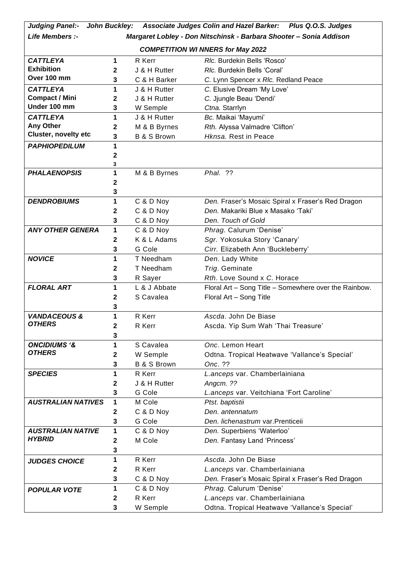| <b>Judging Panel:-</b>                   | John Buckley: |                        | Associate Judges Colin and Hazel Barker: Plus Q.O.S. Judges        |  |  |  |
|------------------------------------------|---------------|------------------------|--------------------------------------------------------------------|--|--|--|
| Life Members :-                          |               |                        | Margaret Lobley - Don Nitschinsk - Barbara Shooter - Sonia Addison |  |  |  |
| <b>COMPETITION WI NNERS for May 2022</b> |               |                        |                                                                    |  |  |  |
| <b>CATTLEYA</b>                          | 1             | R Kerr                 | RIc. Burdekin Bells 'Rosco'                                        |  |  |  |
| <b>Exhibition</b>                        | 2             | J & H Rutter           | Rlc. Burdekin Bells 'Coral'                                        |  |  |  |
| Over 100 mm                              | 3             | C & H Barker           | C. Lynn Spencer x Rlc. Redland Peace                               |  |  |  |
| <b>CATTLEYA</b>                          | 1             | J & H Rutter           | C. Elusive Dream 'My Love'                                         |  |  |  |
| <b>Compact / Mini</b>                    | $\mathbf{2}$  | J & H Rutter           | C. Jjungle Beau 'Dendi'                                            |  |  |  |
| Under 100 mm                             | 3             | W Semple               | Ctna. Starrlyn                                                     |  |  |  |
| <b>CATTLEYA</b>                          | 1             | J & H Rutter           | Bc. Maikai 'Mayumi'                                                |  |  |  |
| Any Other                                | 2             | M & B Byrnes           | Rth. Alyssa Valmadre 'Clifton'                                     |  |  |  |
| <b>Cluster, novelty etc</b>              | 3             | <b>B &amp; S Brown</b> | Hknsa. Rest in Peace                                               |  |  |  |
| <b>PAPHIOPEDILUM</b>                     | 1             |                        |                                                                    |  |  |  |
|                                          | 2             |                        |                                                                    |  |  |  |
|                                          | 3             |                        |                                                                    |  |  |  |
| <b>PHALAENOPSIS</b>                      | 1             | M & B Byrnes           | Phal. ??                                                           |  |  |  |
|                                          | $\mathbf{2}$  |                        |                                                                    |  |  |  |
|                                          | 3             |                        |                                                                    |  |  |  |
| <b>DENDROBIUMS</b>                       | 1             | C & D Noy              | Den. Fraser's Mosaic Spiral x Fraser's Red Dragon                  |  |  |  |
|                                          | $\mathbf{2}$  | C & D Noy              | Den. Makariki Blue x Masako 'Taki'                                 |  |  |  |
|                                          | 3             | C & D Noy              | Den. Touch of Gold                                                 |  |  |  |
| <b>ANY OTHER GENERA</b>                  | 1             | C & D Noy              | Phrag. Calurum 'Denise'                                            |  |  |  |
|                                          | $\mathbf{2}$  | K & L Adams            | Sgr. Yokosuka Story 'Canary'                                       |  |  |  |
|                                          | 3             | G Cole                 | Cirr. Elizabeth Ann 'Buckleberry'                                  |  |  |  |
| <b>NOVICE</b>                            | 1             | T Needham              | Den. Lady White                                                    |  |  |  |
|                                          | $\mathbf{2}$  | T Needham              | Trig. Geminate                                                     |  |  |  |
|                                          | 3             | R Sayer                | Rth. Love Sound x C. Horace                                        |  |  |  |
| <b>FLORAL ART</b>                        | 1             | L & J Abbate           | Floral Art - Song Title - Somewhere over the Rainbow.              |  |  |  |
|                                          | $\mathbf 2$   | S Cavalea              | Floral Art - Song Title                                            |  |  |  |
|                                          | 3             |                        |                                                                    |  |  |  |
| <b>VANDACEOUS &amp;</b>                  | 1             | R Kerr                 | Ascda. John De Biase                                               |  |  |  |
| <b>OTHERS</b>                            | 2             | R Kerr                 | Ascda. Yip Sum Wah 'Thai Treasure'                                 |  |  |  |
|                                          | 3             |                        |                                                                    |  |  |  |
| <b>ONCIDIUMS '&amp;</b>                  | 1             | S Cavalea              | Onc. Lemon Heart                                                   |  |  |  |
| <b>OTHERS</b>                            | 2             | W Semple               | Odtna. Tropical Heatwave 'Vallance's Special'                      |  |  |  |
|                                          | 3             | <b>B &amp; S Brown</b> | Onc. ??                                                            |  |  |  |
| <b>SPECIES</b>                           | 1             | R Kerr                 | L.anceps var. Chamberlainiana                                      |  |  |  |
|                                          | $\mathbf 2$   | J & H Rutter           | Angcm. ??                                                          |  |  |  |
|                                          | 3             | G Cole                 | L.anceps var. Veitchiana 'Fort Caroline'                           |  |  |  |
| <b>AUSTRALIAN NATIVES</b>                | 1             | M Cole                 | Ptst. baptistii                                                    |  |  |  |
|                                          | $\mathbf{2}$  | C & D Noy              | Den. antennatum                                                    |  |  |  |
|                                          | 3             | G Cole                 | Den. lichenastrum var. Prenticeii                                  |  |  |  |
| <b>AUSTRALIAN NATIVE</b>                 | 1             | C & D Noy              | Den. Superbiens 'Waterloo'                                         |  |  |  |
| <b>HYBRID</b>                            | $\mathbf 2$   | M Cole                 | Den. Fantasy Land 'Princess'                                       |  |  |  |
|                                          | 3             |                        |                                                                    |  |  |  |
| <b>JUDGES CHOICE</b>                     | 1             | R Kerr                 | Ascda. John De Biase                                               |  |  |  |
|                                          | 2             | R Kerr                 | L.anceps var. Chamberlainiana                                      |  |  |  |
|                                          | 3             | C & D Noy              | Den. Fraser's Mosaic Spiral x Fraser's Red Dragon                  |  |  |  |
| <b>POPULAR VOTE</b>                      | 1             | C & D Noy              | Phrag. Calurum 'Denise'                                            |  |  |  |
|                                          | $\mathbf 2$   | R Kerr                 | L.anceps var. Chamberlainiana                                      |  |  |  |
|                                          | 3             | W Semple               | Odtna. Tropical Heatwave 'Vallance's Special'                      |  |  |  |